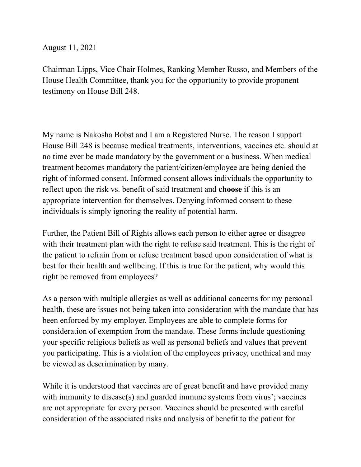August 11, 2021

Chairman Lipps, Vice Chair Holmes, Ranking Member Russo, and Members of the House Health Committee, thank you for the opportunity to provide proponent testimony on House Bill 248.

My name is Nakosha Bobst and I am a Registered Nurse. The reason I support House Bill 248 is because medical treatments, interventions, vaccines etc. should at no time ever be made mandatory by the government or a business. When medical treatment becomes mandatory the patient/citizen/employee are being denied the right of informed consent. Informed consent allows individuals the opportunity to reflect upon the risk vs. benefit of said treatment and **choose** if this is an appropriate intervention for themselves. Denying informed consent to these individuals is simply ignoring the reality of potential harm.

Further, the Patient Bill of Rights allows each person to either agree or disagree with their treatment plan with the right to refuse said treatment. This is the right of the patient to refrain from or refuse treatment based upon consideration of what is best for their health and wellbeing. If this is true for the patient, why would this right be removed from employees?

As a person with multiple allergies as well as additional concerns for my personal health, these are issues not being taken into consideration with the mandate that has been enforced by my employer. Employees are able to complete forms for consideration of exemption from the mandate. These forms include questioning your specific religious beliefs as well as personal beliefs and values that prevent you participating. This is a violation of the employees privacy, unethical and may be viewed as descrimination by many.

While it is understood that vaccines are of great benefit and have provided many with immunity to disease(s) and guarded immune systems from virus'; vaccines are not appropriate for every person. Vaccines should be presented with careful consideration of the associated risks and analysis of benefit to the patient for